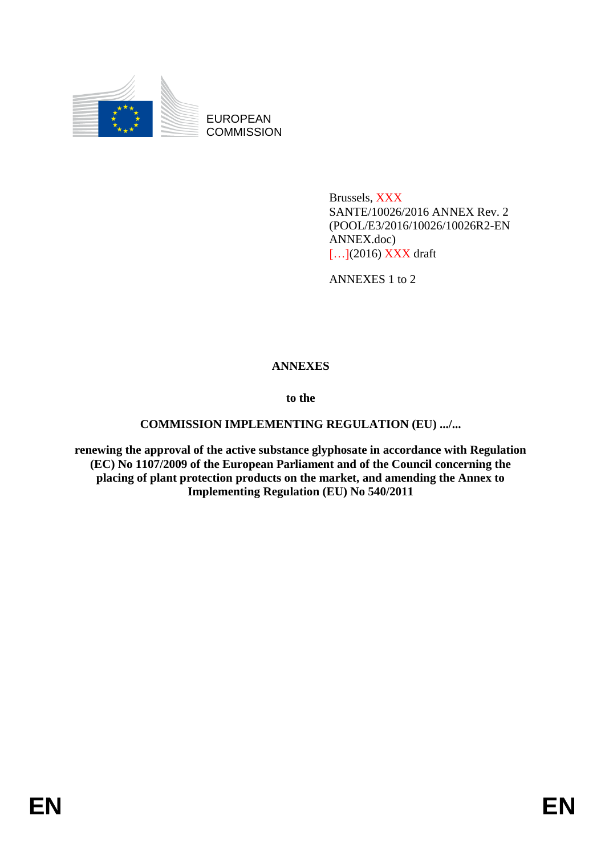

EUROPEAN **COMMISSION** 

> Brussels, XXX SANTE/10026/2016 ANNEX Rev. 2 (POOL/E3/2016/10026/10026R2-EN ANNEX.doc) [...](2016) XXX draft

ANNEXES 1 to 2

## **ANNEXES**

**to the**

## **COMMISSION IMPLEMENTING REGULATION (EU) .../...**

**renewing the approval of the active substance glyphosate in accordance with Regulation (EC) No 1107/2009 of the European Parliament and of the Council concerning the placing of plant protection products on the market, and amending the Annex to Implementing Regulation (EU) No 540/2011**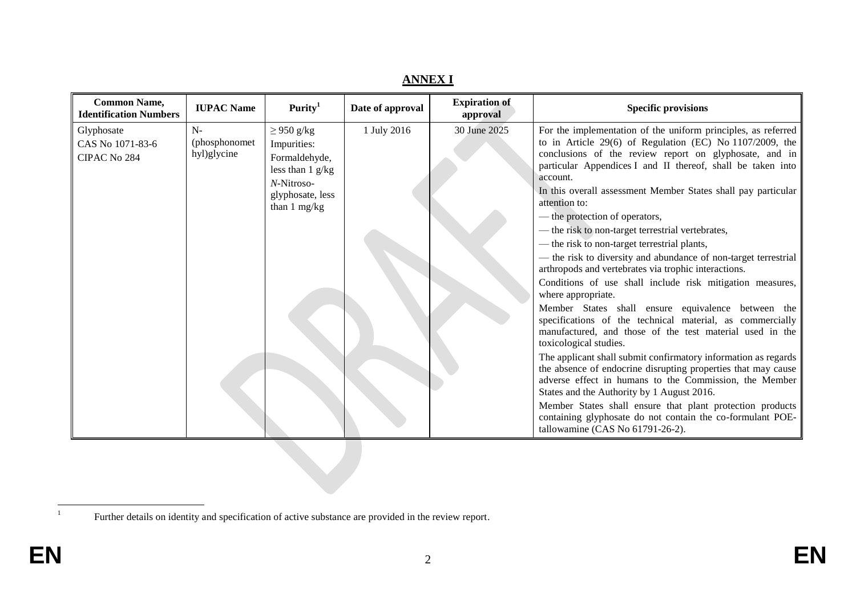| <b>Common Name,</b><br><b>Identification Numbers</b> | <b>IUPAC Name</b>                     | Purity <sup>1</sup>                                                                                                     | Date of approval | <b>Expiration of</b><br>approval | <b>Specific provisions</b>                                                                                                                                                                                                                                                                                                                                                                                                                                                                                                                                                                                                                                                                                                                                                                                                                                                                                                                                                                                                                                                                                                                                                                                                                                                                                               |
|------------------------------------------------------|---------------------------------------|-------------------------------------------------------------------------------------------------------------------------|------------------|----------------------------------|--------------------------------------------------------------------------------------------------------------------------------------------------------------------------------------------------------------------------------------------------------------------------------------------------------------------------------------------------------------------------------------------------------------------------------------------------------------------------------------------------------------------------------------------------------------------------------------------------------------------------------------------------------------------------------------------------------------------------------------------------------------------------------------------------------------------------------------------------------------------------------------------------------------------------------------------------------------------------------------------------------------------------------------------------------------------------------------------------------------------------------------------------------------------------------------------------------------------------------------------------------------------------------------------------------------------------|
| Glyphosate<br>CAS No 1071-83-6<br>CIPAC No 284       | $N-$<br>(phosphonomet)<br>hyl)glycine | $\geq$ 950 g/kg<br>Impurities:<br>Formaldehyde,<br>less than $1$ g/kg<br>N-Nitroso-<br>glyphosate, less<br>than 1 mg/kg | 1 July 2016      | 30 June 2025                     | For the implementation of the uniform principles, as referred<br>to in Article 29(6) of Regulation (EC) No 1107/2009, the<br>conclusions of the review report on glyphosate, and in<br>particular Appendices I and II thereof, shall be taken into<br>account.<br>In this overall assessment Member States shall pay particular<br>attention to:<br>— the protection of operators,<br>— the risk to non-target terrestrial vertebrates,<br>— the risk to non-target terrestrial plants,<br>- the risk to diversity and abundance of non-target terrestrial<br>arthropods and vertebrates via trophic interactions.<br>Conditions of use shall include risk mitigation measures,<br>where appropriate.<br>Member States shall ensure equivalence between the<br>specifications of the technical material, as commercially<br>manufactured, and those of the test material used in the<br>toxicological studies.<br>The applicant shall submit confirmatory information as regards<br>the absence of endocrine disrupting properties that may cause<br>adverse effect in humans to the Commission, the Member<br>States and the Authority by 1 August 2016.<br>Member States shall ensure that plant protection products<br>containing glyphosate do not contain the co-formulant POE-<br>tallowamine (CAS No 61791-26-2). |

**ANNEX I**

 $\frac{1}{1}$ 

Further details on identity and specification of active substance are provided in the review report.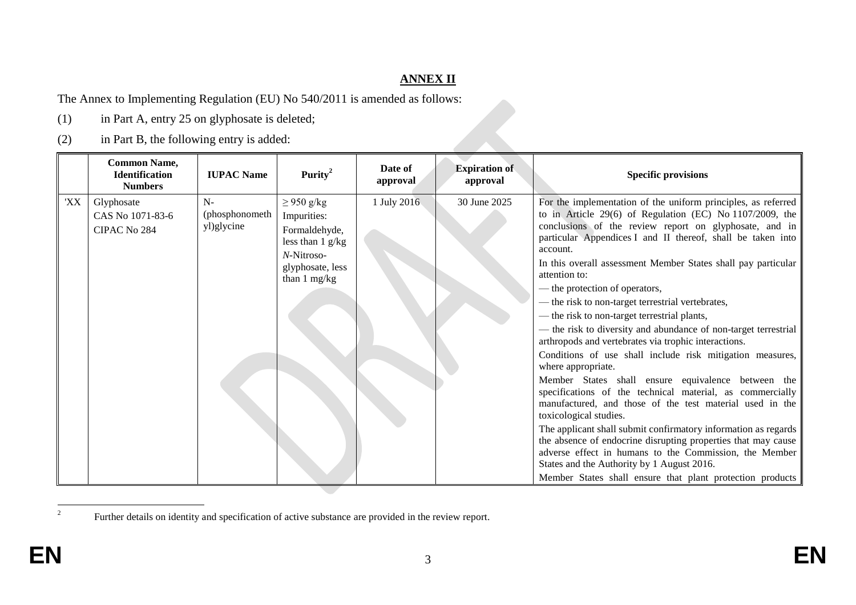## **ANNEX II**

The Annex to Implementing Regulation (EU) No 540/2011 is amended as follows:

- (1) in Part A, entry 25 on glyphosate is deleted;
- (2) in Part B, the following entry is added:

|     | <b>Common Name,</b><br><b>Identification</b><br><b>Numbers</b> | <b>IUPAC Name</b>                    | Purity <sup>2</sup>                                                                                                                      | Date of<br>approval | <b>Expiration of</b><br>approval | <b>Specific provisions</b>                                                                                                                                                                                                                                                                                                                                                                                                                                                                                                                                                                                                                                                                                                                                                                                                                                                                                                                                                                                                                                                                                                                                                                                             |
|-----|----------------------------------------------------------------|--------------------------------------|------------------------------------------------------------------------------------------------------------------------------------------|---------------------|----------------------------------|------------------------------------------------------------------------------------------------------------------------------------------------------------------------------------------------------------------------------------------------------------------------------------------------------------------------------------------------------------------------------------------------------------------------------------------------------------------------------------------------------------------------------------------------------------------------------------------------------------------------------------------------------------------------------------------------------------------------------------------------------------------------------------------------------------------------------------------------------------------------------------------------------------------------------------------------------------------------------------------------------------------------------------------------------------------------------------------------------------------------------------------------------------------------------------------------------------------------|
| 'XX | Glyphosate<br>CAS No 1071-83-6<br>CIPAC No 284                 | $N-$<br>(phosphonometh<br>yl)glycine | $\geq$ 950 g/kg<br>Impurities:<br>Formaldehyde,<br>less than $1 \frac{g}{kg}$<br>$N\text{-Nitroso-}$<br>glyphosate, less<br>than 1 mg/kg | 1 July 2016         | 30 June 2025                     | For the implementation of the uniform principles, as referred<br>to in Article 29(6) of Regulation (EC) No 1107/2009, the<br>conclusions of the review report on glyphosate, and in<br>particular Appendices I and II thereof, shall be taken into<br>account.<br>In this overall assessment Member States shall pay particular<br>attention to:<br>— the protection of operators,<br>- the risk to non-target terrestrial vertebrates,<br>— the risk to non-target terrestrial plants,<br>— the risk to diversity and abundance of non-target terrestrial<br>arthropods and vertebrates via trophic interactions.<br>Conditions of use shall include risk mitigation measures,<br>where appropriate.<br>Member States shall ensure equivalence between the<br>specifications of the technical material, as commercially<br>manufactured, and those of the test material used in the<br>toxicological studies.<br>The applicant shall submit confirmatory information as regards<br>the absence of endocrine disrupting properties that may cause<br>adverse effect in humans to the Commission, the Member<br>States and the Authority by 1 August 2016.<br>Member States shall ensure that plant protection products |

Further details on identity and specification of active substance are provided in the review report.

 $\frac{1}{2}$